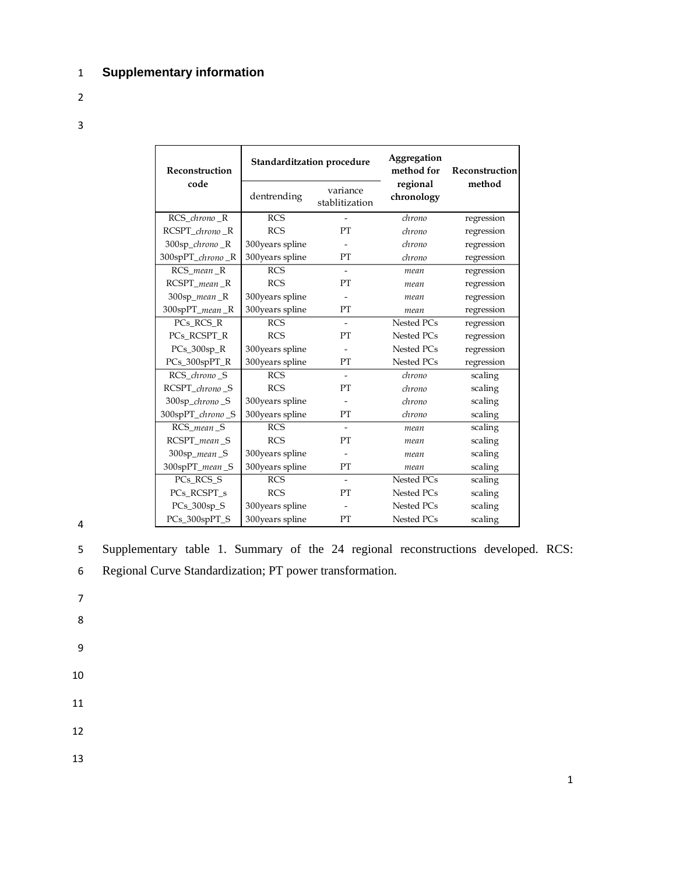## 1 **Supplementary information**

- 2
- 3

| Reconstruction   | Standarditzation procedure |                            | Aggregation<br>method for | Reconstruction<br>method |  |
|------------------|----------------------------|----------------------------|---------------------------|--------------------------|--|
| code             | dentrending                | variance<br>stablitization | regional<br>chronology    |                          |  |
| RCS_chrono_R     | <b>RCS</b>                 | $\overline{a}$             | chrono                    | regression               |  |
| RCSPT_chrono_R   | <b>RCS</b>                 | PT                         | chrono                    | regression               |  |
| 300sp_chrono_R   | 300years spline            |                            | chrono                    | regression               |  |
| 300spPT_chrono_R | 300years spline            | PT                         | chrono                    | regression               |  |
| RCS mean R       | <b>RCS</b>                 | $\overline{a}$             | mean                      | regression               |  |
| $RCSPT_mean_R$   | <b>RCS</b>                 | PT                         | mean                      | regression               |  |
| 300sp_mean_R     | 300years spline            |                            | mean                      | regression               |  |
| 300spPT_mean_R   | 300years spline            | PT                         | mean                      | regression               |  |
| PCs RCS R        | <b>RCS</b>                 |                            | Nested PCs                | regression               |  |
| PCs_RCSPT_R      | <b>RCS</b>                 | PT                         | Nested PCs                | regression               |  |
| $PCs_300sp_R$    | 300years spline            | $\overline{a}$             | Nested PCs                | regression               |  |
| PCs_300spPT_R    | 300years spline            | PT                         | Nested PCs                | regression               |  |
| RCS_chrono_S     | <b>RCS</b>                 |                            | chrono                    | scaling                  |  |
| RCSPT_chrono_S   | <b>RCS</b>                 | PT                         | chrono                    | scaling                  |  |
| 300sp_chrono_S   | 300years spline            |                            | chrono                    | scaling                  |  |
| 300spPT_chrono_S | 300years spline            | PT                         | chrono                    | scaling                  |  |
| RCS_mean_S       | <b>RCS</b>                 | $\overline{\phantom{a}}$   | mean                      | scaling                  |  |
| RCSPT_mean_S     | <b>RCS</b>                 | PT                         | mean                      | scaling                  |  |
| 300sp_mean_S     | 300years spline            |                            | mean                      | scaling                  |  |
| 300spPT_mean_S   | 300years spline            | PT                         | mean                      | scaling                  |  |
| PCs_RCS_S        | <b>RCS</b>                 | $\blacksquare$             | Nested PCs                | scaling                  |  |
| PCs RCSPT s      | <b>RCS</b>                 | PT                         | Nested PCs                | scaling                  |  |
| PCs_300sp_S      | 300years spline            |                            | Nested PCs                | scaling                  |  |
| PCs_300spPT_S    | 300years spline            | PT                         | Nested PCs                | scaling                  |  |

4

5 Supplementary table 1. Summary of the 24 regional reconstructions developed. RCS:

- 6 Regional Curve Standardization; PT power transformation.
- 7 8
- 9
- 10
- 11
- 
- 12
- 13